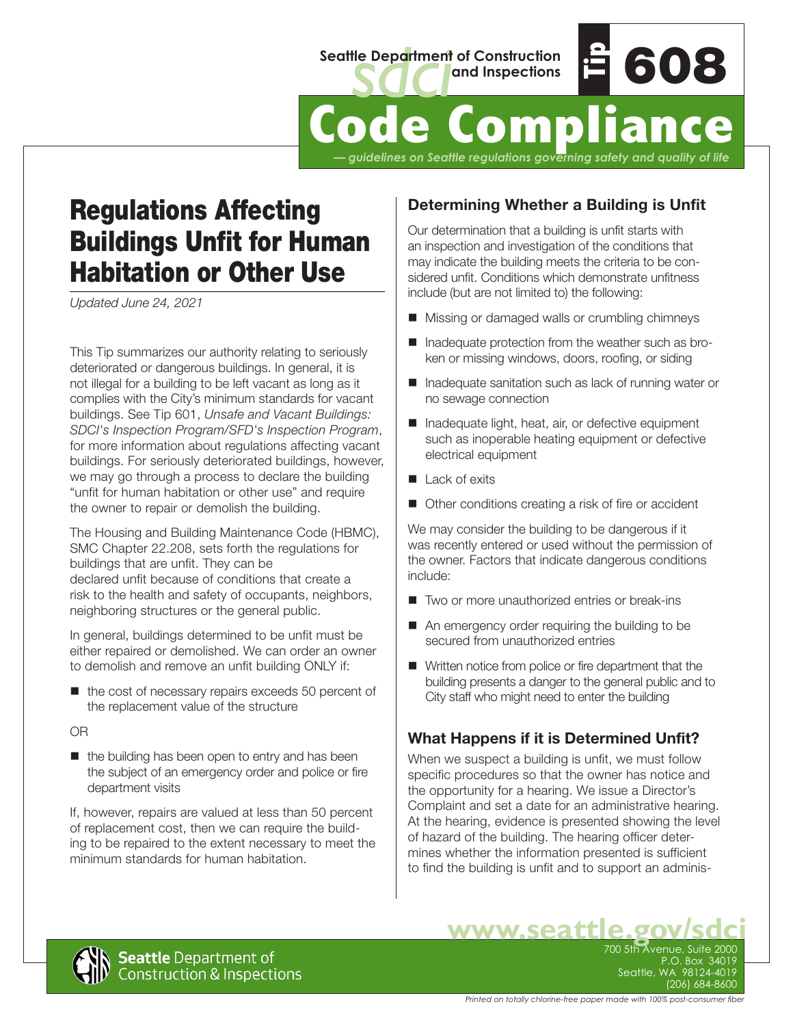

# **DGE COMPL**

*— guidelines on Seattle regulations governing safety and quality of life*

# Regulations Affecting Buildings Unfit for Human Habitation or Other Use

*Updated June 24, 2021*

This Tip summarizes our authority relating to seriously deteriorated or dangerous buildings. In general, it is not illegal for a building to be left vacant as long as it complies with the City's minimum standards for vacant buildings. See Tip 601, *Unsafe and Vacant Buildings: SDCI's Inspection Program/SFD's Inspection Program*, for more information about regulations affecting vacant buildings. For seriously deteriorated buildings, however, we may go through a process to declare the building "unfit for human habitation or other use" and require the owner to repair or demolish the building.

The Housing and Building Maintenance Code (HBMC), SMC Chapter 22.208, sets forth the regulations for buildings that are unfit. They can be declared unfit because of conditions that create a risk to the health and safety of occupants, neighbors, neighboring structures or the general public.

In general, buildings determined to be unfit must be either repaired or demolished. We can order an owner to demolish and remove an unfit building ONLY if:

 $\blacksquare$  the cost of necessary repairs exceeds 50 percent of the replacement value of the structure

OR

 $\blacksquare$  the building has been open to entry and has been the subject of an emergency order and police or fire department visits

If, however, repairs are valued at less than 50 percent of replacement cost, then we can require the building to be repaired to the extent necessary to meet the minimum standards for human habitation.

# **Determining Whether a Building is Unfit**

Our determination that a building is unfit starts with an inspection and investigation of the conditions that may indicate the building meets the criteria to be considered unfit. Conditions which demonstrate unfitness include (but are not limited to) the following:

- Missing or damaged walls or crumbling chimneys
- Inadequate protection from the weather such as broken or missing windows, doors, roofing, or siding
- Inadequate sanitation such as lack of running water or no sewage connection
- Inadequate light, heat, air, or defective equipment such as inoperable heating equipment or defective electrical equipment
- Lack of exits
- Other conditions creating a risk of fire or accident

We may consider the building to be dangerous if it was recently entered or used without the permission of the owner. Factors that indicate dangerous conditions include:

- Two or more unauthorized entries or break-ins
- An emergency order requiring the building to be secured from unauthorized entries
- Written notice from police or fire department that the building presents a danger to the general public and to City staff who might need to enter the building

# **What Happens if it is Determined Unfit?**

When we suspect a building is unfit, we must follow specific procedures so that the owner has notice and the opportunity for a hearing. We issue a Director's Complaint and set a date for an administrative hearing. At the hearing, evidence is presented showing the level of hazard of the building. The hearing officer determines whether the information presented is sufficient to find the building is unfit and to support an adminis-



WWW.Seattle.gov/sdc  $P.O.$  Box  $34$ Seattle, WA 98124-4019 (206) 684-8600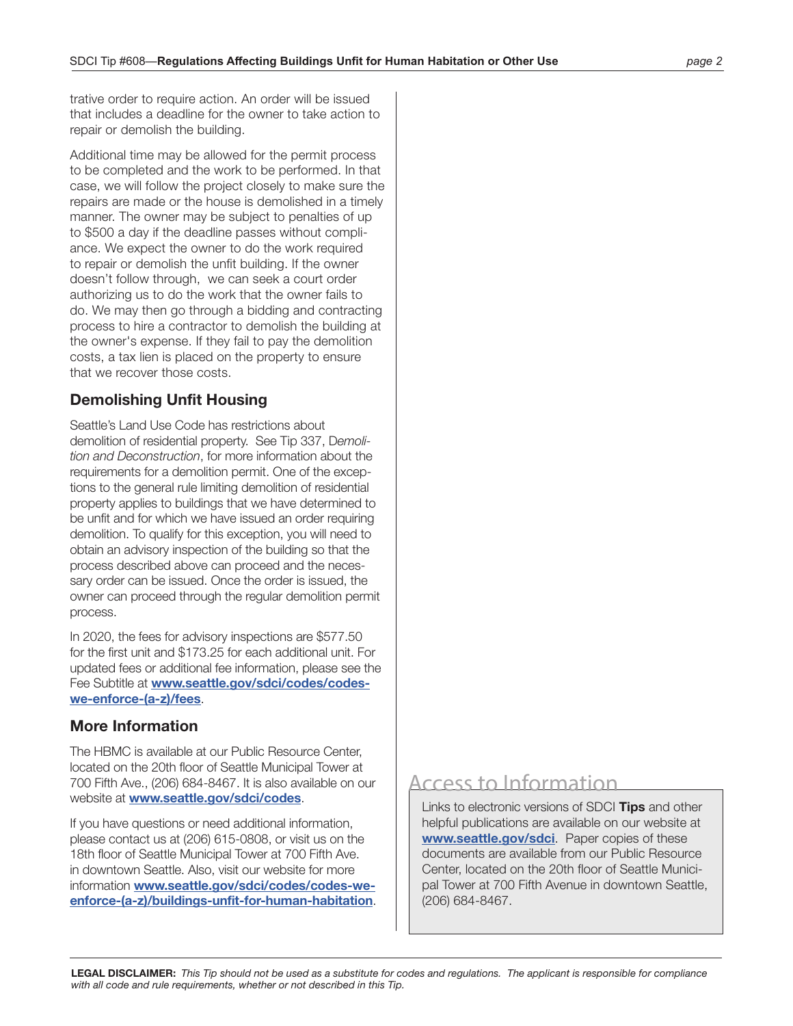trative order to require action. An order will be issued that includes a deadline for the owner to take action to repair or demolish the building.

Additional time may be allowed for the permit process to be completed and the work to be performed. In that case, we will follow the project closely to make sure the repairs are made or the house is demolished in a timely manner. The owner may be subject to penalties of up to \$500 a day if the deadline passes without compliance. We expect the owner to do the work required to repair or demolish the unfit building. If the owner doesn't follow through, we can seek a court order authorizing us to do the work that the owner fails to do. We may then go through a bidding and contracting process to hire a contractor to demolish the building at the owner's expense. If they fail to pay the demolition costs, a tax lien is placed on the property to ensure that we recover those costs.

### **Demolishing Unfit Housing**

Seattle's Land Use Code has restrictions about demolition of residential property. See Tip 337, D*emolition and Deconstruction*, for more information about the requirements for a demolition permit. One of the exceptions to the general rule limiting demolition of residential property applies to buildings that we have determined to be unfit and for which we have issued an order requiring demolition. To qualify for this exception, you will need to obtain an advisory inspection of the building so that the process described above can proceed and the necessary order can be issued. Once the order is issued, the owner can proceed through the regular demolition permit process.

In 2020, the fees for advisory inspections are \$577.50 for the first unit and \$173.25 for each additional unit. For updated fees or additional fee information, please see the Fee Subtitle at **[www.seattle.gov/sdci/codes/codes](www.seattle.gov/sdci/codes/codes-we-enforce-(a-z)/fees)[we-enforce-\(a-z\)/fees](www.seattle.gov/sdci/codes/codes-we-enforce-(a-z)/fees)**.

### **More Information**

The HBMC is available at our Public Resource Center, located on the 20th floor of Seattle Municipal Tower at 700 Fifth Ave., (206) 684-8467. It is also available on our website at **[www.seattle.gov/sdci/codes](http://www.seattle.gov/sdci/codes)**.

If you have questions or need additional information, please contact us at (206) 615-0808, or visit us on the 18th floor of Seattle Municipal Tower at 700 Fifth Ave. in downtown Seattle. Also, visit our website for more information **[www.seattle.gov/sdci/codes/codes-we](http://www.seattle.gov/sdci/codes/codes-we-enforce-(a-z)/buildings-unfit-for-human-habitation)[enforce-\(a-z\)/buildings-unfit-for-human-habitation](http://www.seattle.gov/sdci/codes/codes-we-enforce-(a-z)/buildings-unfit-for-human-habitation)**.

# Access to Information

Links to electronic versions of SDCI **Tips** and other helpful publications are available on our website at **[www.seattle.gov/s](http://www.seattle.gov/sdci)dci**. Paper copies of these documents are available from our Public Resource Center, located on the 20th floor of Seattle Municipal Tower at 700 Fifth Avenue in downtown Seattle, (206) 684-8467.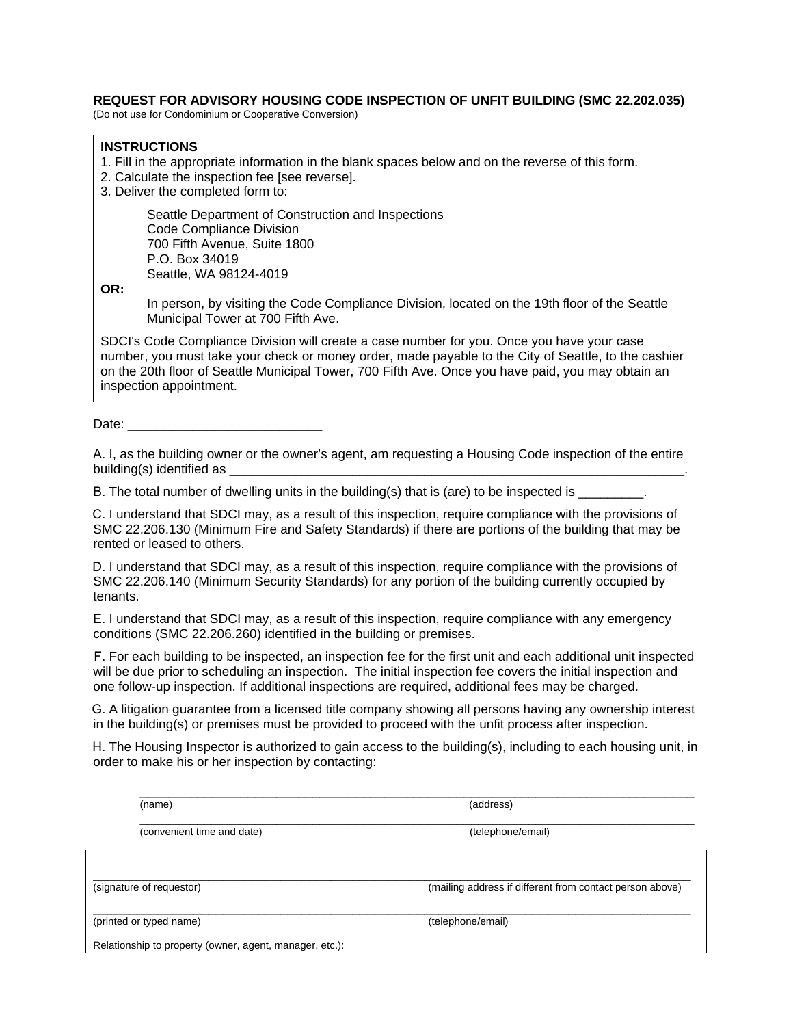#### **REQUEST FOR ADVISORY HOUSING CODE INSPECTION OF UNFIT BUILDING (SMC 22.202.035)**

(Do not use for Condominium or Cooperative Conversion)

#### **INSTRUCTIONS**

- 1. Fill in the appropriate information in the blank spaces below and on the reverse of this form.
- 2. Calculate the inspection fee [see reverse].
- 3. Deliver the completed form to:

Seattle Department of Construction and Inspections Code Compliance Division 700 Fifth Avenue, Suite 1800 P.O. Box 34019 Seattle, WA 98124-4019

**OR:** 

In person, by visiting the Code Compliance Division, located on the 19th floor of the Seattle Municipal Tower at 700 Fifth Ave.

SDCI's Code Compliance Division will create a case number for you. Once you have your case number, you must take your check or money order, made payable to the City of Seattle, to the cashier on the 20th floor of Seattle Municipal Tower, 700 Fifth Ave. Once you have paid, you may obtain an inspection appointment.

Date:

A. I, as the building owner or the owner's agent, am requesting a Housing Code inspection of the entire building(s) identified as

B. The total number of dwelling units in the building(s) that is (are) to be inspected is

C. I understand that SDCI may, as a result of this inspection, require compliance with the provisions of SMC 22.206.130 (Minimum Fire and Safety Standards) if there are portions of the building that may be rented or leased to others.

D. I understand that SDCI may, as a result of this inspection, require compliance with the provisions of SMC 22.206.140 (Minimum Security Standards) for any portion of the building currently occupied by tenants.

E. I understand that SDCI may, as a result of this inspection, require compliance with any emergency conditions (SMC 22.206.260) identified in the building or premises.

F. For each building to be inspected, an inspection fee for the first unit and each additional unit inspected will be due prior to scheduling an inspection. The initial inspection fee covers the initial inspection and one follow-up inspection. If additional inspections are required, additional fees may be charged.

G. A litigation guarantee from a licensed title company showing all persons having any ownership interest in the building(s) or premises must be provided to proceed with the unfit process after inspection.

H. The Housing Inspector is authorized to gain access to the building(s), including to each housing unit, in order to make his or her inspection by contacting:

| (name)                                                  | (address)                                                |
|---------------------------------------------------------|----------------------------------------------------------|
| (convenient time and date)                              | (telephone/email)                                        |
|                                                         |                                                          |
| (signature of requestor)                                | (mailing address if different from contact person above) |
| (printed or typed name)                                 | (telephone/email)                                        |
| Relationship to property (owner, agent, manager, etc.): |                                                          |